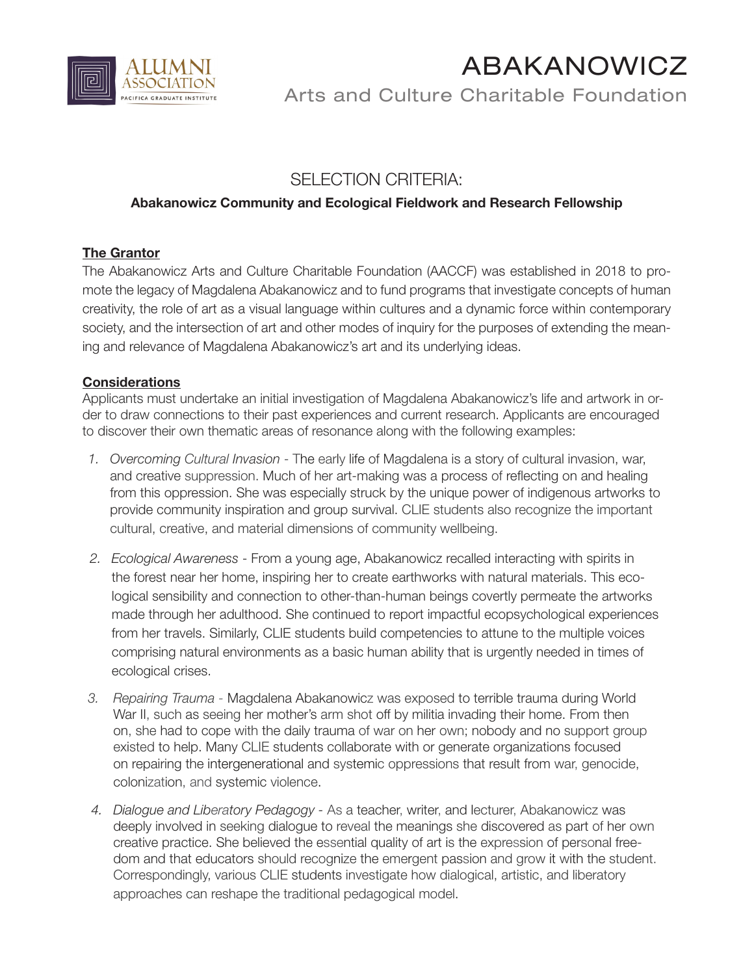

# ABAKANOWICZ

Arts and Culture Charitable Foundation

# SELECTION CRITERIA:

## **Abakanowicz Community and Ecological Fieldwork and Research Fellowship**

#### **The Grantor**

The Abakanowicz Arts and Culture Charitable Foundation (AACCF) was established in 2018 to promote the legacy of Magdalena Abakanowicz and to fund programs that investigate concepts of human creativity, the role of art as a visual language within cultures and a dynamic force within contemporary society, and the intersection of art and other modes of inquiry for the purposes of extending the meaning and relevance of Magdalena Abakanowicz's art and its underlying ideas.

## **Considerations**

Applicants must undertake an initial investigation of Magdalena Abakanowicz's life and artwork in order to draw connections to their past experiences and current research. Applicants are encouraged to discover their own thematic areas of resonance along with the following examples:

- *1. Overcoming Cultural Invasion*  The early life of Magdalena is a story of cultural invasion, war, and creative suppression. Much of her art-making was a process of reflecting on and healing from this oppression. She was especially struck by the unique power of indigenous artworks to provide community inspiration and group survival. CLIE students also recognize the important cultural, creative, and material dimensions of community wellbeing.
- *2. Ecological Awareness* From a young age, Abakanowicz recalled interacting with spirits in the forest near her home, inspiring her to create earthworks with natural materials. This ecological sensibility and connection to other-than-human beings covertly permeate the artworks made through her adulthood. She continued to report impactful ecopsychological experiences from her travels. Similarly, CLIE students build competencies to attune to the multiple voices comprising natural environments as a basic human ability that is urgently needed in times of ecological crises.
- *3. Repairing Trauma* Magdalena Abakanowicz was exposed to terrible trauma during World War II, such as seeing her mother's arm shot off by militia invading their home. From then on, she had to cope with the daily trauma of war on her own; nobody and no support group existed to help. Many CLIE students collaborate with or generate organizations focused on repairing the intergenerational and systemic oppressions that result from war, genocide, colonization, and systemic violence.
- *4. Dialogue and Liberatory Pedagogy* As a teacher, writer, and lecturer, Abakanowicz was deeply involved in seeking dialogue to reveal the meanings she discovered as part of her own creative practice. She believed the essential quality of art is the expression of personal freedom and that educators should recognize the emergent passion and grow it with the student. Correspondingly, various CLIE students investigate how dialogical, artistic, and liberatory approaches can reshape the traditional pedagogical model.